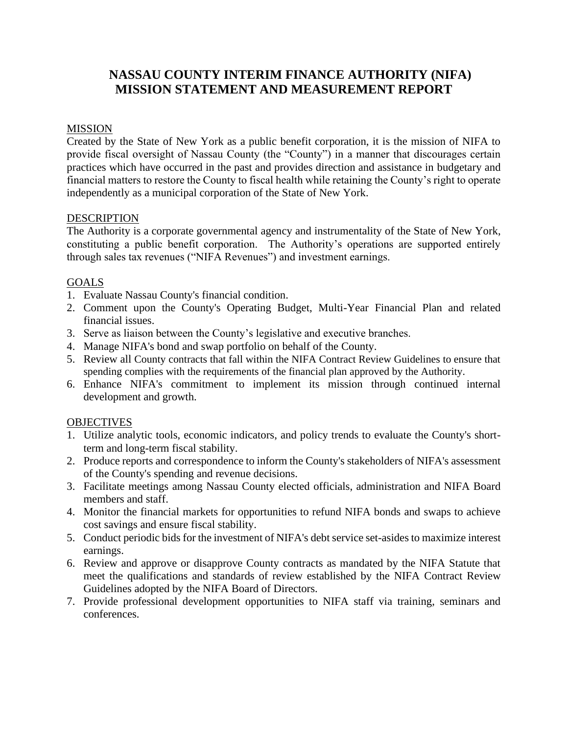# **NASSAU COUNTY INTERIM FINANCE AUTHORITY (NIFA) MISSION STATEMENT AND MEASUREMENT REPORT**

### MISSION

Created by the State of New York as a public benefit corporation, it is the mission of NIFA to provide fiscal oversight of Nassau County (the "County") in a manner that discourages certain practices which have occurred in the past and provides direction and assistance in budgetary and financial matters to restore the County to fiscal health while retaining the County's right to operate independently as a municipal corporation of the State of New York.

### DESCRIPTION

The Authority is a corporate governmental agency and instrumentality of the State of New York, constituting a public benefit corporation. The Authority's operations are supported entirely through sales tax revenues ("NIFA Revenues") and investment earnings.

## GOALS

- 1. Evaluate Nassau County's financial condition.
- 2. Comment upon the County's Operating Budget, Multi-Year Financial Plan and related financial issues.
- 3. Serve as liaison between the County's legislative and executive branches.
- 4. Manage NIFA's bond and swap portfolio on behalf of the County.
- 5. Review all County contracts that fall within the NIFA Contract Review Guidelines to ensure that spending complies with the requirements of the financial plan approved by the Authority.
- 6. Enhance NIFA's commitment to implement its mission through continued internal development and growth.

#### **OBJECTIVES**

- 1. Utilize analytic tools, economic indicators, and policy trends to evaluate the County's shortterm and long-term fiscal stability.
- 2. Produce reports and correspondence to inform the County's stakeholders of NIFA's assessment of the County's spending and revenue decisions.
- 3. Facilitate meetings among Nassau County elected officials, administration and NIFA Board members and staff.
- 4. Monitor the financial markets for opportunities to refund NIFA bonds and swaps to achieve cost savings and ensure fiscal stability.
- 5. Conduct periodic bids for the investment of NIFA's debt service set-asides to maximize interest earnings.
- 6. Review and approve or disapprove County contracts as mandated by the NIFA Statute that meet the qualifications and standards of review established by the NIFA Contract Review Guidelines adopted by the NIFA Board of Directors.
- 7. Provide professional development opportunities to NIFA staff via training, seminars and conferences.